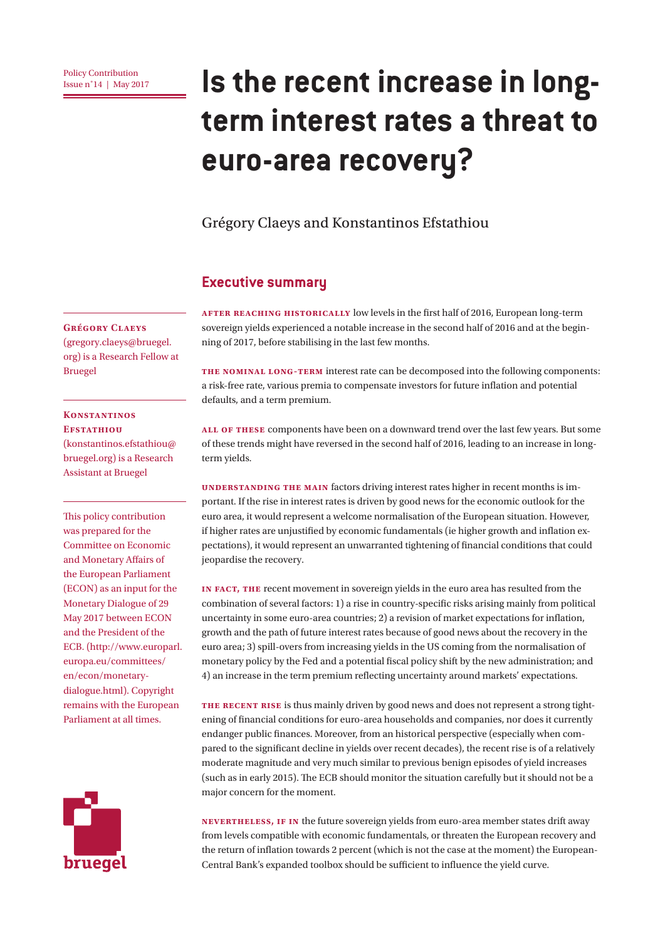# **IS the recent increase in longterm interest rates a threat to euro-area recovery?**

#### Grégory Claeys and Konstantinos Efstathiou

#### **Executive summary**

**After reaching historically** low levels in the first half of 2016, European long-term sovereign yields experienced a notable increase in the second half of 2016 and at the beginning of 2017, before stabilising in the last few months.

**The nominal long-term** interest rate can be decomposed into the following components: a risk-free rate, various premia to compensate investors for future inflation and potential defaults, and a term premium.

**All of these** components have been on a downward trend over the last few years. But some of these trends might have reversed in the second half of 2016, leading to an increase in longterm yields.

**UNDERSTANDING THE MAIN factors driving interest rates higher in recent months is im**portant. If the rise in interest rates is driven by good news for the economic outlook for the euro area, it would represent a welcome normalisation of the European situation. However, if higher rates are unjustified by economic fundamentals (ie higher growth and inflation expectations), it would represent an unwarranted tightening of financial conditions that could jeopardise the recovery.

**In fact, the** recent movement in sovereign yields in the euro area has resulted from the combination of several factors: 1) a rise in country-specific risks arising mainly from political uncertainty in some euro-area countries; 2) a revision of market expectations for inflation, growth and the path of future interest rates because of good news about the recovery in the euro area; 3) spill-overs from increasing yields in the US coming from the normalisation of monetary policy by the Fed and a potential fiscal policy shift by the new administration; and 4) an increase in the term premium reflecting uncertainty around markets' expectations.

**The recent rise** is thus mainly driven by good news and does not represent a strong tightening of financial conditions for euro-area households and companies, nor does it currently endanger public finances. Moreover, from an historical perspective (especially when compared to the significant decline in yields over recent decades), the recent rise is of a relatively moderate magnitude and very much similar to previous benign episodes of yield increases (such as in early 2015). The ECB should monitor the situation carefully but it should not be a major concern for the moment.

**Nevertheless, if in** the future sovereign yields from euro-area member states drift away from levels compatible with economic fundamentals, or threaten the European recovery and the return of inflation towards 2 percent (which is not the case at the moment) the European-Central Bank's expanded toolbox should be sufficient to influence the yield curve.

#### **Grégory Claeys**

(gregory.claeys@bruegel. org) is a Research Fellow at Bruegel

#### **Konstantinos EFSTATHIOU**

(konstantinos.efstathiou@ bruegel.org) is a Research Assistant at Bruegel

This policy contribution was prepared for the Committee on Economic and Monetary Affairs of the European Parliament (ECON) as an input for the Monetary Dialogue of 29 May 2017 between ECON and the President of the ECB. (http://www.europarl. europa.eu/committees/ en/econ/monetarydialogue.html). Copyright remains with the European Parliament at all times.

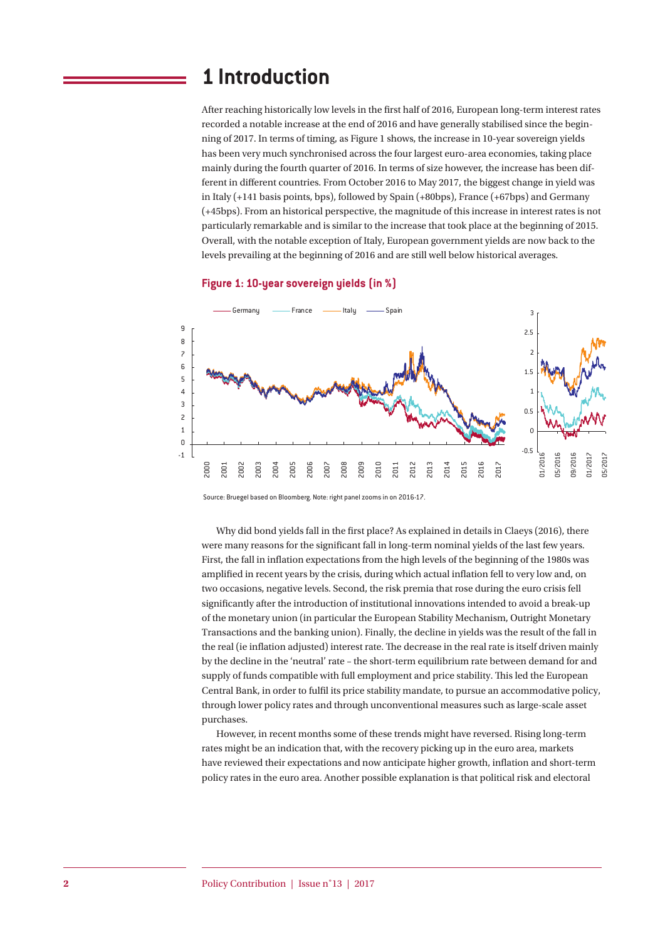### **1 Introduction**

After reaching historically low levels in the first half of 2016, European long-term interest rates recorded a notable increase at the end of 2016 and have generally stabilised since the beginning of 2017. In terms of timing, as Figure 1 shows, the increase in 10-year sovereign yields has been very much synchronised across the four largest euro-area economies, taking place mainly during the fourth quarter of 2016. In terms of size however, the increase has been different in different countries. From October 2016 to May 2017, the biggest change in yield was in Italy (+141 basis points, bps), followed by Spain (+80bps), France (+67bps) and Germany (+45bps). From an historical perspective, the magnitude of this increase in interest rates is not particularly remarkable and is similar to the increase that took place at the beginning of 2015. Overall, with the notable exception of Italy, European government yields are now back to the levels prevailing at the beginning of 2016 and are still well below historical averages.





Source: Bruegel based on Bloomberg. Note: right panel zooms in on 2016-17.

Why did bond yields fall in the first place? As explained in details in Claeys (2016), there were many reasons for the significant fall in long-term nominal yields of the last few years. First, the fall in inflation expectations from the high levels of the beginning of the 1980s was amplified in recent years by the crisis, during which actual inflation fell to very low and, on two occasions, negative levels. Second, the risk premia that rose during the euro crisis fell significantly after the introduction of institutional innovations intended to avoid a break-up of the monetary union (in particular the European Stability Mechanism, Outright Monetary Transactions and the banking union). Finally, the decline in yields was the result of the fall in the real (ie inflation adjusted) interest rate. The decrease in the real rate is itself driven mainly by the decline in the 'neutral' rate – the short-term equilibrium rate between demand for and supply of funds compatible with full employment and price stability. This led the European Central Bank, in order to fulfil its price stability mandate, to pursue an accommodative policy, through lower policy rates and through unconventional measures such as large-scale asset purchases.

However, in recent months some of these trends might have reversed. Rising long-term rates might be an indication that, with the recovery picking up in the euro area, markets have reviewed their expectations and now anticipate higher growth, inflation and short-term policy rates in the euro area. Another possible explanation is that political risk and electoral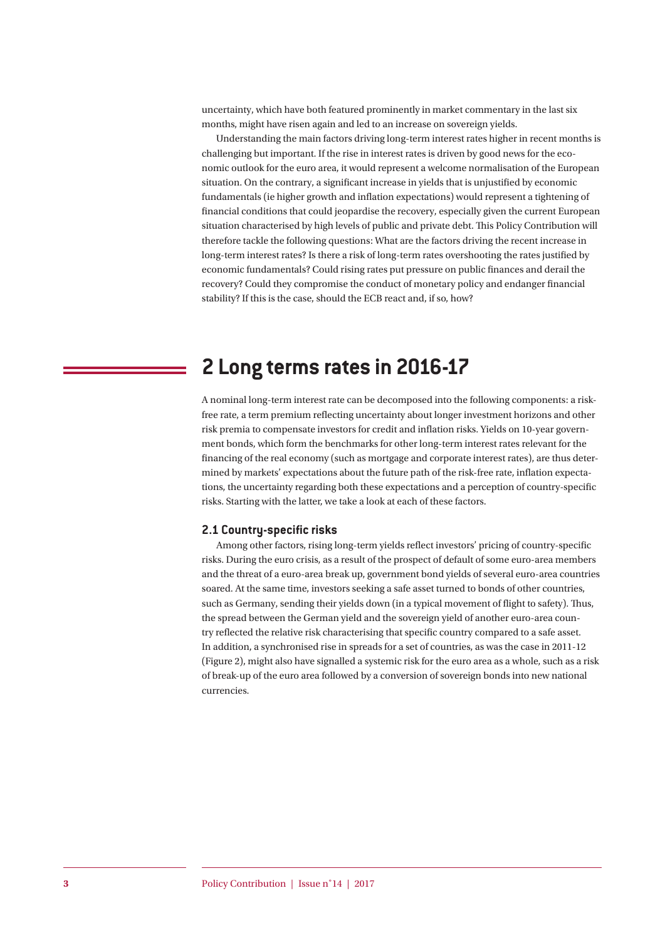uncertainty, which have both featured prominently in market commentary in the last six months, might have risen again and led to an increase on sovereign yields.

Understanding the main factors driving long-term interest rates higher in recent months is challenging but important. If the rise in interest rates is driven by good news for the economic outlook for the euro area, it would represent a welcome normalisation of the European situation. On the contrary, a significant increase in yields that is unjustified by economic fundamentals (ie higher growth and inflation expectations) would represent a tightening of financial conditions that could jeopardise the recovery, especially given the current European situation characterised by high levels of public and private debt. This Policy Contribution will therefore tackle the following questions: What are the factors driving the recent increase in long-term interest rates? Is there a risk of long-term rates overshooting the rates justified by economic fundamentals? Could rising rates put pressure on public finances and derail the recovery? Could they compromise the conduct of monetary policy and endanger financial stability? If this is the case, should the ECB react and, if so, how?

# **2 Long terms rates in 2016-17**

A nominal long-term interest rate can be decomposed into the following components: a riskfree rate, a term premium reflecting uncertainty about longer investment horizons and other risk premia to compensate investors for credit and inflation risks. Yields on 10-year government bonds, which form the benchmarks for other long-term interest rates relevant for the financing of the real economy (such as mortgage and corporate interest rates), are thus determined by markets' expectations about the future path of the risk-free rate, inflation expectations, the uncertainty regarding both these expectations and a perception of country-specific risks. Starting with the latter, we take a look at each of these factors.

#### **2.1 Country-specific risks**

Among other factors, rising long-term yields reflect investors' pricing of country-specific risks. During the euro crisis, as a result of the prospect of default of some euro-area members and the threat of a euro-area break up, government bond yields of several euro-area countries soared. At the same time, investors seeking a safe asset turned to bonds of other countries, such as Germany, sending their yields down (in a typical movement of flight to safety). Thus, the spread between the German yield and the sovereign yield of another euro-area country reflected the relative risk characterising that specific country compared to a safe asset. In addition, a synchronised rise in spreads for a set of countries, as was the case in 2011-12 (Figure 2), might also have signalled a systemic risk for the euro area as a whole, such as a risk of break-up of the euro area followed by a conversion of sovereign bonds into new national currencies.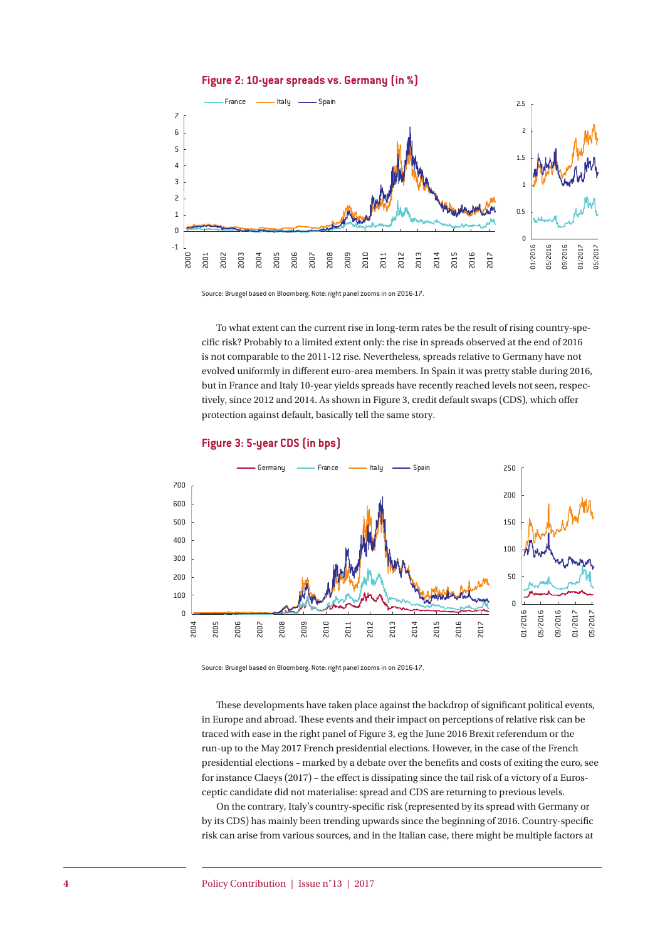#### **Figure 2: 10-year spreads vs. Germany (in %)**



Source: Bruegel based on Bloomberg. Note: right panel zooms in on 2016-17.

To what extent can the current rise in long-term rates be the result of rising country-specific risk? Probably to a limited extent only: the rise in spreads observed at the end of 2016 is not comparable to the 2011-12 rise. Nevertheless, spreads relative to Germany have not evolved uniformly in different euro-area members. In Spain it was pretty stable during 2016, but in France and Italy 10-year yields spreads have recently reached levels not seen, respectively, since 2012 and 2014. As shown in Figure 3, credit default swaps (CDS), which offer protection against default, basically tell the same story.



#### **Figure 3: 5-year CDS (in bps)**

Source: Bruegel based on Bloomberg. Note: right panel zooms in on 2016-17.

These developments have taken place against the backdrop of significant political events, in Europe and abroad. These events and their impact on perceptions of relative risk can be traced with ease in the right panel of Figure 3, eg the June 2016 Brexit referendum or the run-up to the May 2017 French presidential elections. However, in the case of the French presidential elections – marked by a debate over the benefits and costs of exiting the euro, see for instance Claeys (2017) – the effect is dissipating since the tail risk of a victory of a Eurosceptic candidate did not materialise: spread and CDS are returning to previous levels.

On the contrary, Italy's country-specific risk (represented by its spread with Germany or by its CDS) has mainly been trending upwards since the beginning of 2016. Country-specific risk can arise from various sources, and in the Italian case, there might be multiple factors at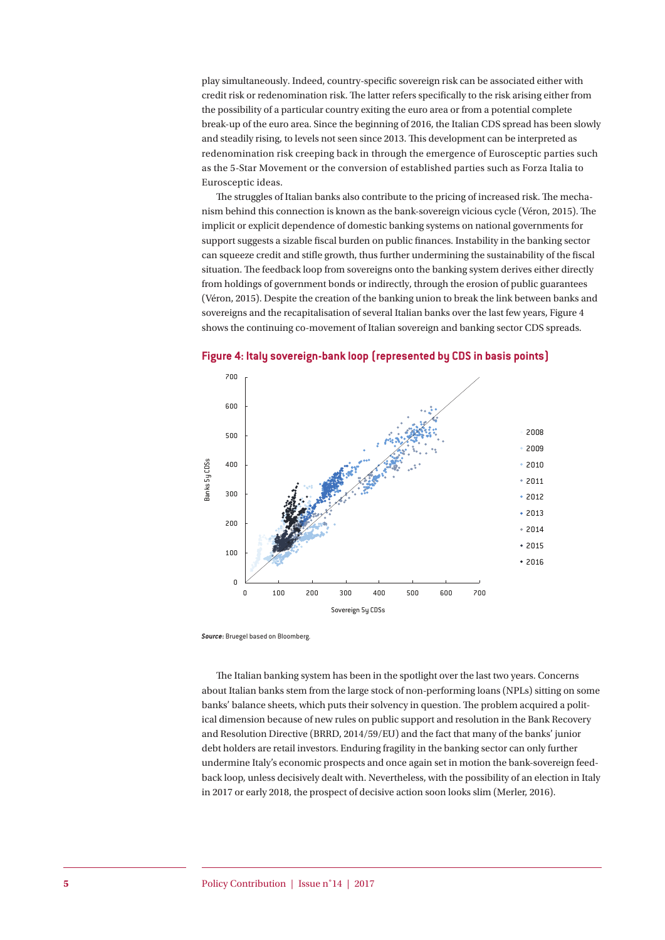play simultaneously. Indeed, country-specific sovereign risk can be associated either with credit risk or redenomination risk. The latter refers specifically to the risk arising either from the possibility of a particular country exiting the euro area or from a potential complete break-up of the euro area. Since the beginning of 2016, the Italian CDS spread has been slowly and steadily rising, to levels not seen since 2013. This development can be interpreted as redenomination risk creeping back in through the emergence of Eurosceptic parties such as the 5-Star Movement or the conversion of established parties such as Forza Italia to Eurosceptic ideas.

The struggles of Italian banks also contribute to the pricing of increased risk. The mechanism behind this connection is known as the bank-sovereign vicious cycle (Véron, 2015). The implicit or explicit dependence of domestic banking systems on national governments for support suggests a sizable fiscal burden on public finances. Instability in the banking sector can squeeze credit and stifle growth, thus further undermining the sustainability of the fiscal situation. The feedback loop from sovereigns onto the banking system derives either directly from holdings of government bonds or indirectly, through the erosion of public guarantees (Véron, 2015). Despite the creation of the banking union to break the link between banks and sovereigns and the recapitalisation of several Italian banks over the last few years, Figure 4 shows the continuing co-movement of Italian sovereign and banking sector CDS spreads.



**Figure 4: Italy sovereign-bank loop (represented by CDS in basis points)**

*Source***:** Bruegel based on Bloomberg.

The Italian banking system has been in the spotlight over the last two years. Concerns about Italian banks stem from the large stock of non-performing loans (NPLs) sitting on some banks' balance sheets, which puts their solvency in question. The problem acquired a political dimension because of new rules on public support and resolution in the Bank Recovery and Resolution Directive (BRRD, 2014/59/EU) and the fact that many of the banks' junior debt holders are retail investors. Enduring fragility in the banking sector can only further undermine Italy's economic prospects and once again set in motion the bank-sovereign feedback loop, unless decisively dealt with. Nevertheless, with the possibility of an election in Italy in 2017 or early 2018, the prospect of decisive action soon looks slim (Merler, 2016).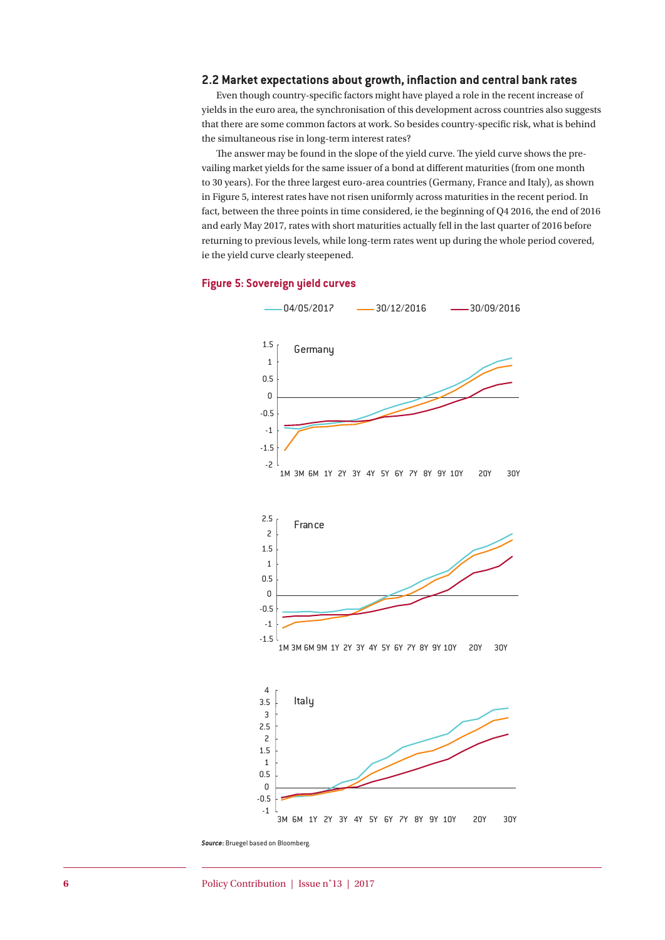#### **2.2 Market expectations about growth, inflaction and central bank rates**

Even though country-specific factors might have played a role in the recent increase of yields in the euro area, the synchronisation of this development across countries also suggests that there are some common factors at work. So besides country-specific risk, what is behind the simultaneous rise in long-term interest rates?

The answer may be found in the slope of the yield curve. The yield curve shows the prevailing market yields for the same issuer of a bond at different maturities (from one month to 30 years). For the three largest euro-area countries (Germany, France and Italy), as shown in Figure 5, interest rates have not risen uniformly across maturities in the recent period. In fact, between the three points in time considered, ie the beginning of Q4 2016, the end of 2016 and early May 2017, rates with short maturities actually fell in the last quarter of 2016 before returning to previous levels, while long-term rates went up during the whole period covered, ie the yield curve clearly steepened.





*Source***:** Bruegel based on Bloomberg.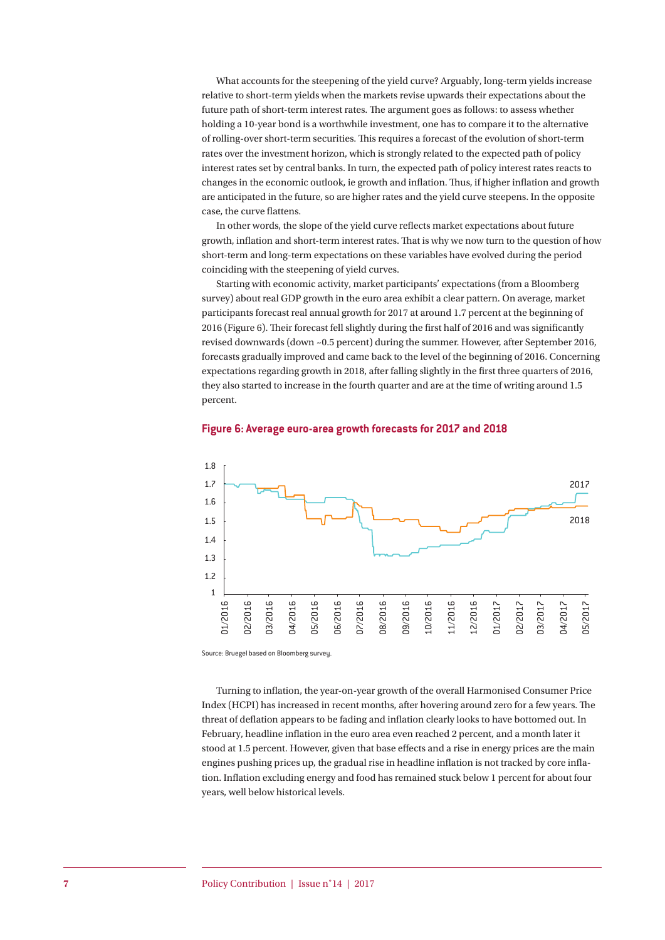What accounts for the steepening of the yield curve? Arguably, long-term yields increase relative to short-term yields when the markets revise upwards their expectations about the future path of short-term interest rates. The argument goes as follows: to assess whether holding a 10-year bond is a worthwhile investment, one has to compare it to the alternative of rolling-over short-term securities. This requires a forecast of the evolution of short-term rates over the investment horizon, which is strongly related to the expected path of policy interest rates set by central banks. In turn, the expected path of policy interest rates reacts to changes in the economic outlook, ie growth and inflation. Thus, if higher inflation and growth are anticipated in the future, so are higher rates and the yield curve steepens. In the opposite case, the curve flattens.

In other words, the slope of the yield curve reflects market expectations about future growth, inflation and short-term interest rates. That is why we now turn to the question of how short-term and long-term expectations on these variables have evolved during the period coinciding with the steepening of yield curves.

Starting with economic activity, market participants' expectations (from a Bloomberg survey) about real GDP growth in the euro area exhibit a clear pattern. On average, market participants forecast real annual growth for 2017 at around 1.7 percent at the beginning of 2016 (Figure 6). Their forecast fell slightly during the first half of 2016 and was significantly revised downwards (down ~0.5 percent) during the summer. However, after September 2016, forecasts gradually improved and came back to the level of the beginning of 2016. Concerning expectations regarding growth in 2018, after falling slightly in the first three quarters of 2016, they also started to increase in the fourth quarter and are at the time of writing around 1.5 percent.



#### **Figure 6: Average euro-area growth forecasts for 2017 and 2018**

Source: Bruegel based on Bloomberg survey.

Turning to inflation, the year-on-year growth of the overall Harmonised Consumer Price Index (HCPI) has increased in recent months, after hovering around zero for a few years. The threat of deflation appears to be fading and inflation clearly looks to have bottomed out. In February, headline inflation in the euro area even reached 2 percent, and a month later it stood at 1.5 percent. However, given that base effects and a rise in energy prices are the main engines pushing prices up, the gradual rise in headline inflation is not tracked by core inflation. Inflation excluding energy and food has remained stuck below 1 percent for about four years, well below historical levels.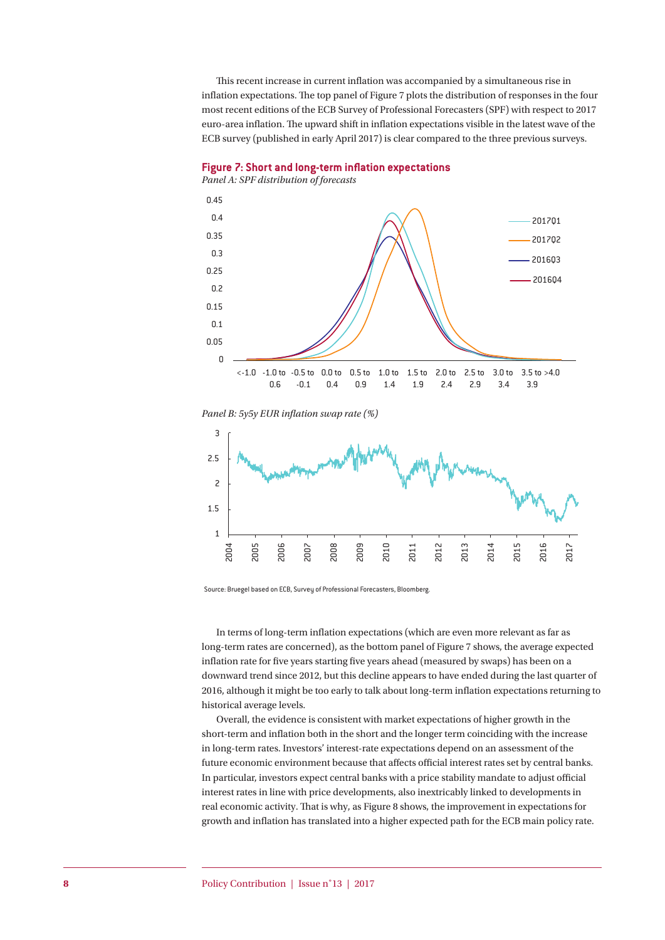This recent increase in current inflation was accompanied by a simultaneous rise in inflation expectations. The top panel of Figure 7 plots the distribution of responses in the four most recent editions of the ECB Survey of Professional Forecasters (SPF) with respect to 2017 euro-area inflation. The upward shift in inflation expectations visible in the latest wave of the ECB survey (published in early April 2017) is clear compared to the three previous surveys.





*Panel B: 5y5y EUR inflation swap rate (%)*



Source: Bruegel based on ECB, Survey of Professional Forecasters, Bloomberg.

In terms of long-term inflation expectations (which are even more relevant as far as long-term rates are concerned), as the bottom panel of Figure 7 shows, the average expected inflation rate for five years starting five years ahead (measured by swaps) has been on a downward trend since 2012, but this decline appears to have ended during the last quarter of 2016, although it might be too early to talk about long-term inflation expectations returning to historical average levels.

Overall, the evidence is consistent with market expectations of higher growth in the short-term and inflation both in the short and the longer term coinciding with the increase in long-term rates. Investors' interest-rate expectations depend on an assessment of the future economic environment because that affects official interest rates set by central banks. In particular, investors expect central banks with a price stability mandate to adjust official interest rates in line with price developments, also inextricably linked to developments in real economic activity. That is why, as Figure 8 shows, the improvement in expectations for growth and inflation has translated into a higher expected path for the ECB main policy rate.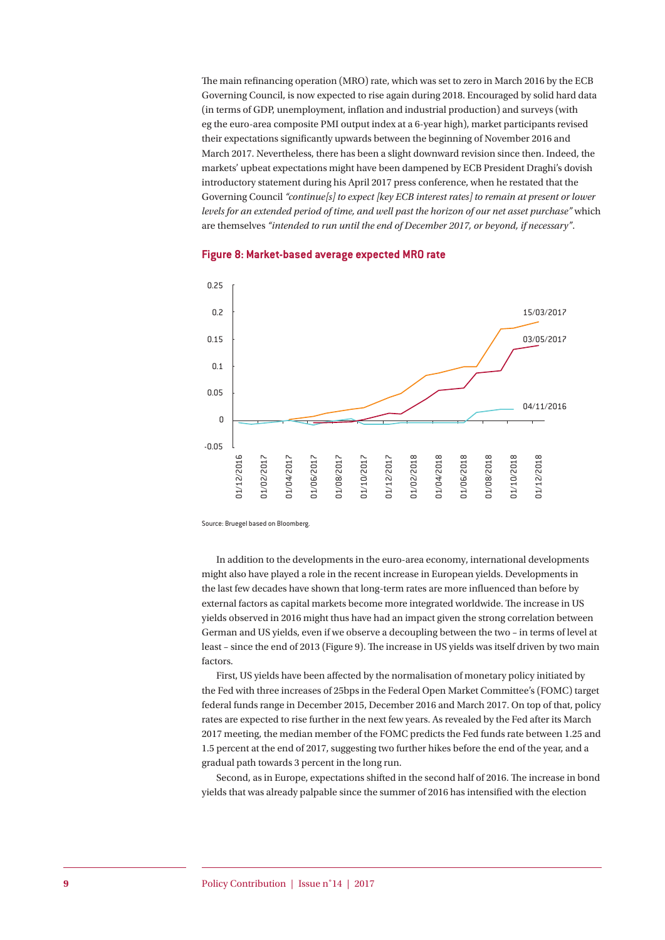The main refinancing operation (MRO) rate, which was set to zero in March 2016 by the ECB Governing Council, is now expected to rise again during 2018. Encouraged by solid hard data (in terms of GDP, unemployment, inflation and industrial production) and surveys (with eg the euro-area composite PMI output index at a 6-year high), market participants revised their expectations significantly upwards between the beginning of November 2016 and March 2017. Nevertheless, there has been a slight downward revision since then. Indeed, the markets' upbeat expectations might have been dampened by ECB President Draghi's dovish introductory statement during his April 2017 press conference, when he restated that the Governing Council *"continue[s] to expect [key ECB interest rates] to remain at present or lower levels for an extended period of time, and well past the horizon of our net asset purchase"* which are themselves *"intended to run until the end of December 2017, or beyond, if necessary"*.



#### **Figure 8: Market-based average expected MRO rate**

Source: Bruegel based on Bloomberg.

In addition to the developments in the euro-area economy, international developments might also have played a role in the recent increase in European yields. Developments in the last few decades have shown that long-term rates are more influenced than before by external factors as capital markets become more integrated worldwide. The increase in US yields observed in 2016 might thus have had an impact given the strong correlation between German and US yields, even if we observe a decoupling between the two – in terms of level at least – since the end of 2013 (Figure 9). The increase in US yields was itself driven by two main factors.

First, US yields have been affected by the normalisation of monetary policy initiated by the Fed with three increases of 25bps in the Federal Open Market Committee's (FOMC) target federal funds range in December 2015, December 2016 and March 2017. On top of that, policy rates are expected to rise further in the next few years. As revealed by the Fed after its March 2017 meeting, the median member of the FOMC predicts the Fed funds rate between 1.25 and 1.5 percent at the end of 2017, suggesting two further hikes before the end of the year, and a gradual path towards 3 percent in the long run.

Second, as in Europe, expectations shifted in the second half of 2016. The increase in bond yields that was already palpable since the summer of 2016 has intensified with the election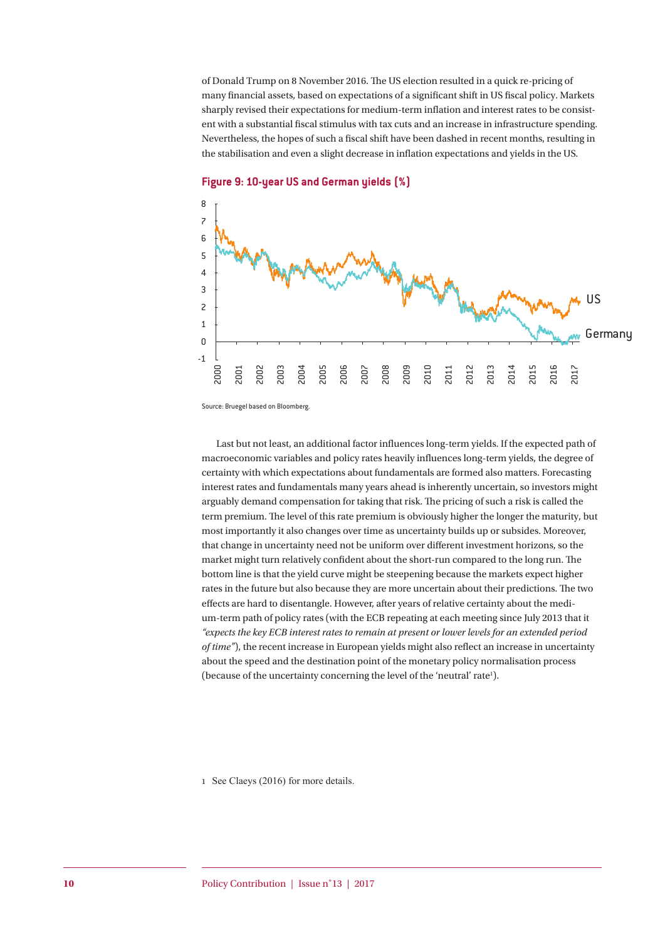of Donald Trump on 8 November 2016. The US election resulted in a quick re-pricing of many financial assets, based on expectations of a significant shift in US fiscal policy. Markets sharply revised their expectations for medium-term inflation and interest rates to be consistent with a substantial fiscal stimulus with tax cuts and an increase in infrastructure spending. Nevertheless, the hopes of such a fiscal shift have been dashed in recent months, resulting in the stabilisation and even a slight decrease in inflation expectations and yields in the US.



**Figure 9: 10-year US and German yields (%)**

Source: Bruegel based on Bloomberg.

Last but not least, an additional factor influences long-term yields. If the expected path of macroeconomic variables and policy rates heavily influences long-term yields, the degree of certainty with which expectations about fundamentals are formed also matters. Forecasting interest rates and fundamentals many years ahead is inherently uncertain, so investors might arguably demand compensation for taking that risk. The pricing of such a risk is called the term premium. The level of this rate premium is obviously higher the longer the maturity, but most importantly it also changes over time as uncertainty builds up or subsides. Moreover, that change in uncertainty need not be uniform over different investment horizons, so the market might turn relatively confident about the short-run compared to the long run. The bottom line is that the yield curve might be steepening because the markets expect higher rates in the future but also because they are more uncertain about their predictions. The two effects are hard to disentangle. However, after years of relative certainty about the medium-term path of policy rates (with the ECB repeating at each meeting since July 2013 that it *"expects the key ECB interest rates to remain at present or lower levels for an extended period of time"*), the recent increase in European yields might also reflect an increase in uncertainty about the speed and the destination point of the monetary policy normalisation process (because of the uncertainty concerning the level of the 'neutral' rate<sup>1</sup>).

1 See Claeys (2016) for more details.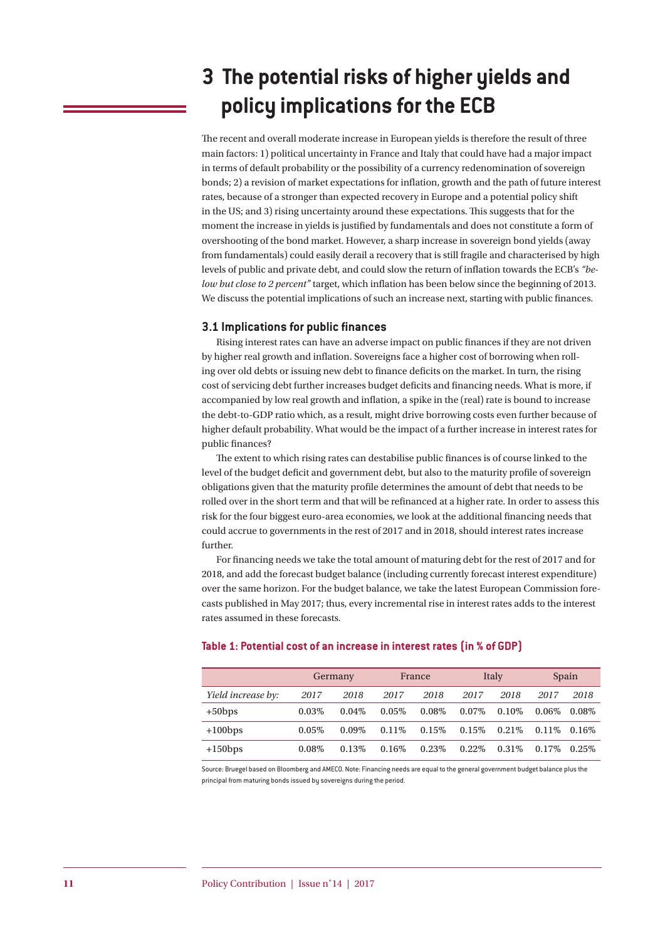# **3 The potential risks of higher yields and policy implications for the ECB**

The recent and overall moderate increase in European yields is therefore the result of three main factors: 1) political uncertainty in France and Italy that could have had a major impact in terms of default probability or the possibility of a currency redenomination of sovereign bonds; 2) a revision of market expectations for inflation, growth and the path of future interest rates, because of a stronger than expected recovery in Europe and a potential policy shift in the US; and 3) rising uncertainty around these expectations. This suggests that for the moment the increase in yields is justified by fundamentals and does not constitute a form of overshooting of the bond market. However, a sharp increase in sovereign bond yields (away from fundamentals) could easily derail a recovery that is still fragile and characterised by high levels of public and private debt, and could slow the return of inflation towards the ECB's *"below but close to 2 percent"* target, which inflation has been below since the beginning of 2013. We discuss the potential implications of such an increase next, starting with public finances.

#### **3.1 Implications for public finances**

Rising interest rates can have an adverse impact on public finances if they are not driven by higher real growth and inflation. Sovereigns face a higher cost of borrowing when rolling over old debts or issuing new debt to finance deficits on the market. In turn, the rising cost of servicing debt further increases budget deficits and financing needs. What is more, if accompanied by low real growth and inflation, a spike in the (real) rate is bound to increase the debt-to-GDP ratio which, as a result, might drive borrowing costs even further because of higher default probability. What would be the impact of a further increase in interest rates for public finances?

The extent to which rising rates can destabilise public finances is of course linked to the level of the budget deficit and government debt, but also to the maturity profile of sovereign obligations given that the maturity profile determines the amount of debt that needs to be rolled over in the short term and that will be refinanced at a higher rate. In order to assess this risk for the four biggest euro-area economies, we look at the additional financing needs that could accrue to governments in the rest of 2017 and in 2018, should interest rates increase further.

For financing needs we take the total amount of maturing debt for the rest of 2017 and for 2018, and add the forecast budget balance (including currently forecast interest expenditure) over the same horizon. For the budget balance, we take the latest European Commission forecasts published in May 2017; thus, every incremental rise in interest rates adds to the interest rates assumed in these forecasts.

|                    | Germany |          | France |          | Italy    |       | Spain    |          |
|--------------------|---------|----------|--------|----------|----------|-------|----------|----------|
| Yield increase by: | 2017    | 2018     | 2017   | 2018     | 2017     | 2018  | 2017     | 2018     |
| $+50$ bps          | 0.03%   | 0.04%    | 0.05%  | $0.08\%$ | $0.07\%$ | 0.10% | $0.06\%$ | $0.08\%$ |
| $+100$ bps         | 0.05%   | $0.09\%$ | 0.11%  | 0.15%    | 0.15%    | 0.21% | $0.11\%$ | 0.16%    |
| $+150$ bps         | 0.08%   | 0.13%    | 0.16\% | 0.23%    | $0.22\%$ | 0.31% | 0.17%    | $0.25\%$ |

#### **Table 1: Potential cost of an increase in interest rates (in % of GDP)**

Source: Bruegel based on Bloomberg and AMECO. Note: Financing needs are equal to the general government budget balance plus the principal from maturing bonds issued by sovereigns during the period.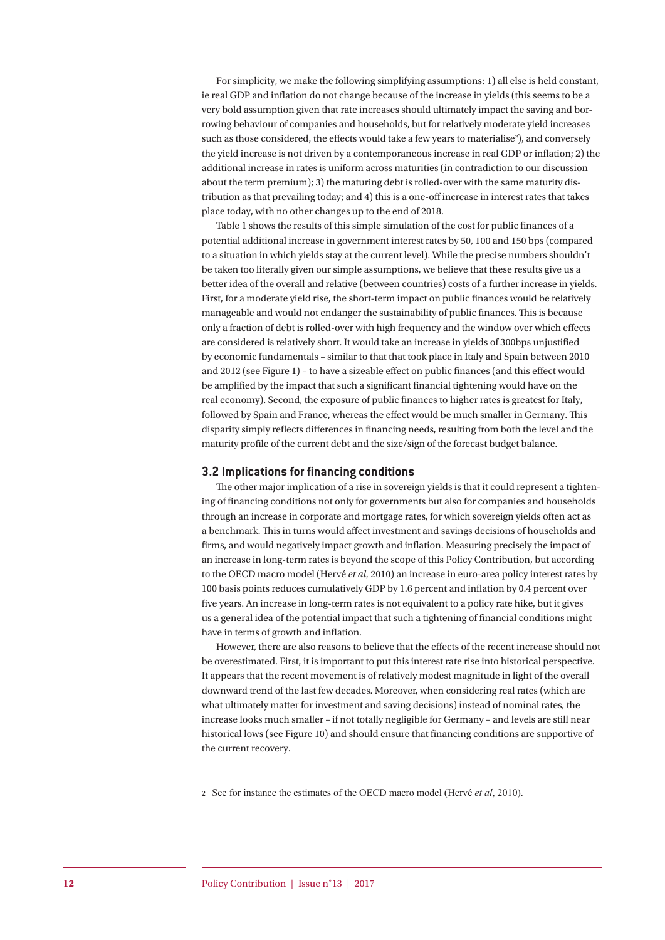For simplicity, we make the following simplifying assumptions: 1) all else is held constant, ie real GDP and inflation do not change because of the increase in yields (this seems to be a very bold assumption given that rate increases should ultimately impact the saving and borrowing behaviour of companies and households, but for relatively moderate yield increases such as those considered, the effects would take a few years to materialise<sup>2</sup>), and conversely the yield increase is not driven by a contemporaneous increase in real GDP or inflation; 2) the additional increase in rates is uniform across maturities (in contradiction to our discussion about the term premium); 3) the maturing debt is rolled-over with the same maturity distribution as that prevailing today; and 4) this is a one-off increase in interest rates that takes place today, with no other changes up to the end of 2018.

Table 1 shows the results of this simple simulation of the cost for public finances of a potential additional increase in government interest rates by 50, 100 and 150 bps (compared to a situation in which yields stay at the current level). While the precise numbers shouldn't be taken too literally given our simple assumptions, we believe that these results give us a better idea of the overall and relative (between countries) costs of a further increase in yields. First, for a moderate yield rise, the short-term impact on public finances would be relatively manageable and would not endanger the sustainability of public finances. This is because only a fraction of debt is rolled-over with high frequency and the window over which effects are considered is relatively short. It would take an increase in yields of 300bps unjustified by economic fundamentals – similar to that that took place in Italy and Spain between 2010 and 2012 (see Figure 1) – to have a sizeable effect on public finances (and this effect would be amplified by the impact that such a significant financial tightening would have on the real economy). Second, the exposure of public finances to higher rates is greatest for Italy, followed by Spain and France, whereas the effect would be much smaller in Germany. This disparity simply reflects differences in financing needs, resulting from both the level and the maturity profile of the current debt and the size/sign of the forecast budget balance.

#### **3.2 Implications for financing conditions**

The other major implication of a rise in sovereign yields is that it could represent a tightening of financing conditions not only for governments but also for companies and households through an increase in corporate and mortgage rates, for which sovereign yields often act as a benchmark. This in turns would affect investment and savings decisions of households and firms, and would negatively impact growth and inflation. Measuring precisely the impact of an increase in long-term rates is beyond the scope of this Policy Contribution, but according to the OECD macro model (Hervé *et al*, 2010) an increase in euro-area policy interest rates by 100 basis points reduces cumulatively GDP by 1.6 percent and inflation by 0.4 percent over five years. An increase in long-term rates is not equivalent to a policy rate hike, but it gives us a general idea of the potential impact that such a tightening of financial conditions might have in terms of growth and inflation.

However, there are also reasons to believe that the effects of the recent increase should not be overestimated. First, it is important to put this interest rate rise into historical perspective. It appears that the recent movement is of relatively modest magnitude in light of the overall downward trend of the last few decades. Moreover, when considering real rates (which are what ultimately matter for investment and saving decisions) instead of nominal rates, the increase looks much smaller – if not totally negligible for Germany – and levels are still near historical lows (see Figure 10) and should ensure that financing conditions are supportive of the current recovery.

2 See for instance the estimates of the OECD macro model (Hervé *et al*, 2010).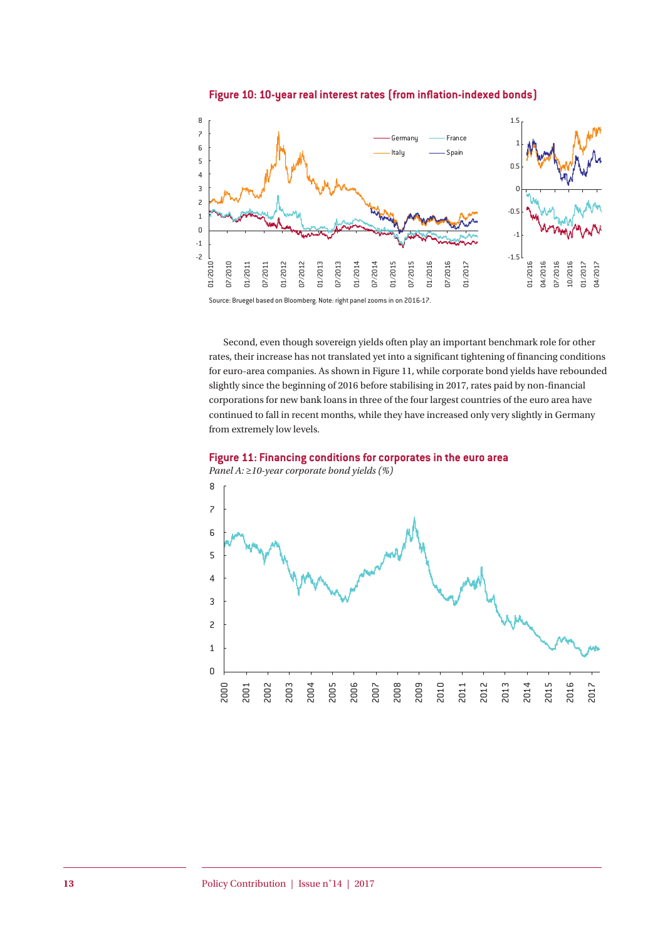



Second, even though sovereign yields often play an important benchmark role for other rates, their increase has not translated yet into a significant tightening of financing conditions for euro-area companies. As shown in Figure 11, while corporate bond yields have rebounded slightly since the beginning of 2016 before stabilising in 2017, rates paid by non-financial corporations for new bank loans in three of the four largest countries of the euro area have continued to fall in recent months, while they have increased only very slightly in Germany from extremely low levels.

**Figure 11: Financing conditions for corporates in the euro area** *Panel A: ≥10-year corporate bond yields (%)*



Source: Bruegel based on Bloomberg. Note: right panel zooms in on 2016-17.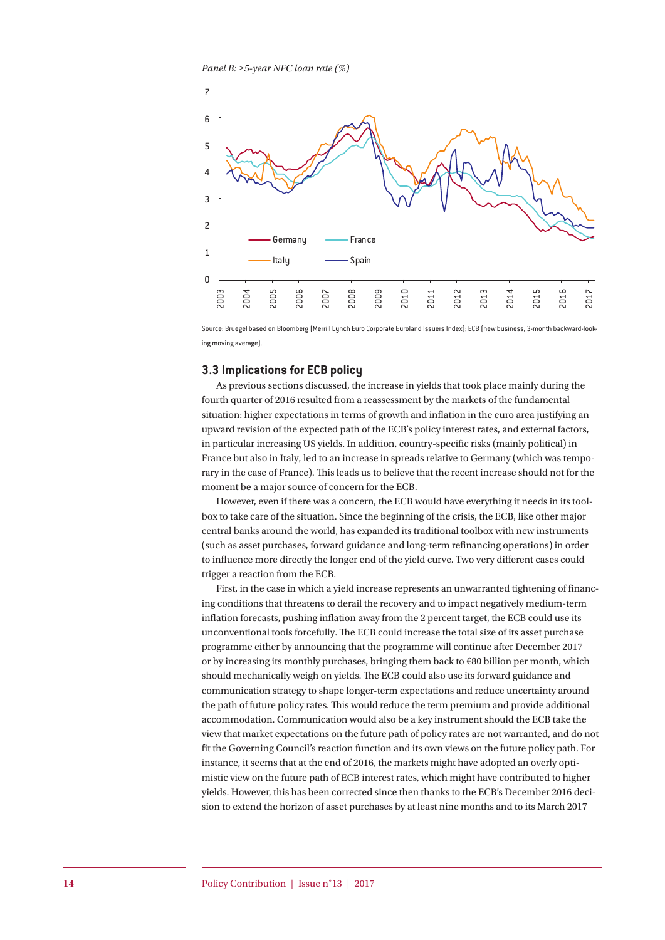*Panel B: ≥5-year NFC loan rate (%)*



Source: Bruegel based on Bloomberg (Merrill Lynch Euro Corporate Euroland Issuers Index); ECB (new business, 3-month backward-looking moving average).

#### **3.3 Implications for ECB policy**

As previous sections discussed, the increase in yields that took place mainly during the fourth quarter of 2016 resulted from a reassessment by the markets of the fundamental situation: higher expectations in terms of growth and inflation in the euro area justifying an upward revision of the expected path of the ECB's policy interest rates, and external factors, in particular increasing US yields. In addition, country-specific risks (mainly political) in France but also in Italy, led to an increase in spreads relative to Germany (which was temporary in the case of France). This leads us to believe that the recent increase should not for the moment be a major source of concern for the ECB.

However, even if there was a concern, the ECB would have everything it needs in its toolbox to take care of the situation. Since the beginning of the crisis, the ECB, like other major central banks around the world, has expanded its traditional toolbox with new instruments (such as asset purchases, forward guidance and long-term refinancing operations) in order to influence more directly the longer end of the yield curve. Two very different cases could trigger a reaction from the ECB.

First, in the case in which a yield increase represents an unwarranted tightening of financing conditions that threatens to derail the recovery and to impact negatively medium-term inflation forecasts, pushing inflation away from the 2 percent target, the ECB could use its unconventional tools forcefully. The ECB could increase the total size of its asset purchase programme either by announcing that the programme will continue after December 2017 or by increasing its monthly purchases, bringing them back to €80 billion per month, which should mechanically weigh on yields. The ECB could also use its forward guidance and communication strategy to shape longer-term expectations and reduce uncertainty around the path of future policy rates. This would reduce the term premium and provide additional accommodation. Communication would also be a key instrument should the ECB take the view that market expectations on the future path of policy rates are not warranted, and do not fit the Governing Council's reaction function and its own views on the future policy path. For instance, it seems that at the end of 2016, the markets might have adopted an overly optimistic view on the future path of ECB interest rates, which might have contributed to higher yields. However, this has been corrected since then thanks to the ECB's December 2016 decision to extend the horizon of asset purchases by at least nine months and to its March 2017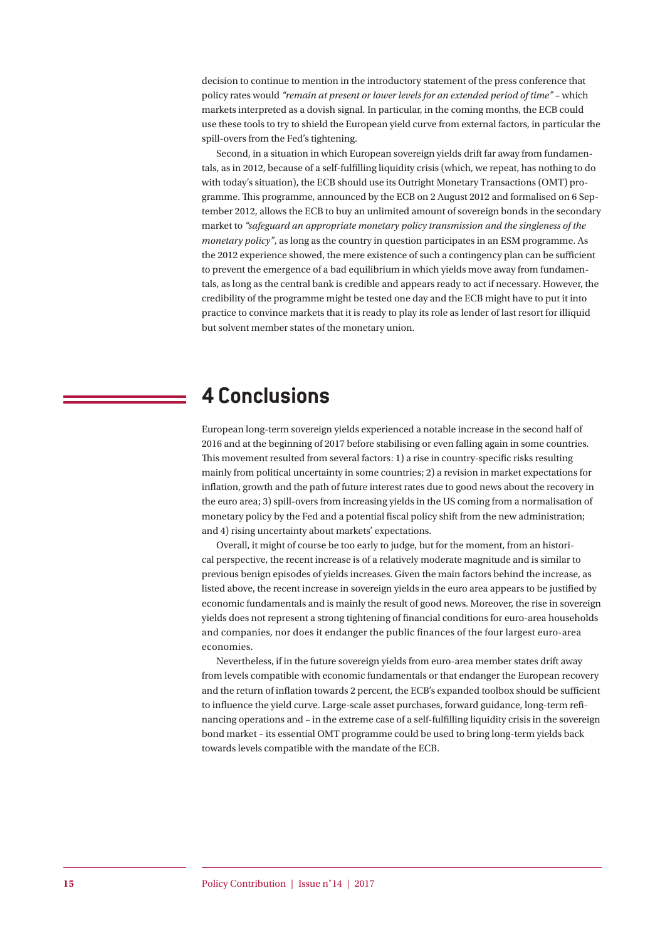decision to continue to mention in the introductory statement of the press conference that policy rates would *"remain at present or lower levels for an extended period of time"* – which markets interpreted as a dovish signal. In particular, in the coming months, the ECB could use these tools to try to shield the European yield curve from external factors, in particular the spill-overs from the Fed's tightening.

Second, in a situation in which European sovereign yields drift far away from fundamentals, as in 2012, because of a self-fulfilling liquidity crisis (which, we repeat, has nothing to do with today's situation), the ECB should use its Outright Monetary Transactions (OMT) programme. This programme, announced by the ECB on 2 August 2012 and formalised on 6 September 2012, allows the ECB to buy an unlimited amount of sovereign bonds in the secondary market to *"safeguard an appropriate monetary policy transmission and the singleness of the monetary policy"*, as long as the country in question participates in an ESM programme. As the 2012 experience showed, the mere existence of such a contingency plan can be sufficient to prevent the emergence of a bad equilibrium in which yields move away from fundamentals, as long as the central bank is credible and appears ready to act if necessary. However, the credibility of the programme might be tested one day and the ECB might have to put it into practice to convince markets that it is ready to play its role as lender of last resort for illiquid but solvent member states of the monetary union.

## **4 Conclusions**

European long-term sovereign yields experienced a notable increase in the second half of 2016 and at the beginning of 2017 before stabilising or even falling again in some countries. This movement resulted from several factors: 1) a rise in country-specific risks resulting mainly from political uncertainty in some countries; 2) a revision in market expectations for inflation, growth and the path of future interest rates due to good news about the recovery in the euro area; 3) spill-overs from increasing yields in the US coming from a normalisation of monetary policy by the Fed and a potential fiscal policy shift from the new administration; and 4) rising uncertainty about markets' expectations.

Overall, it might of course be too early to judge, but for the moment, from an historical perspective, the recent increase is of a relatively moderate magnitude and is similar to previous benign episodes of yields increases. Given the main factors behind the increase, as listed above, the recent increase in sovereign yields in the euro area appears to be justified by economic fundamentals and is mainly the result of good news. Moreover, the rise in sovereign yields does not represent a strong tightening of financial conditions for euro-area households and companies, nor does it endanger the public finances of the four largest euro-area economies.

Nevertheless, if in the future sovereign yields from euro-area member states drift away from levels compatible with economic fundamentals or that endanger the European recovery and the return of inflation towards 2 percent, the ECB's expanded toolbox should be sufficient to influence the yield curve. Large-scale asset purchases, forward guidance, long-term refinancing operations and – in the extreme case of a self-fulfilling liquidity crisis in the sovereign bond market – its essential OMT programme could be used to bring long-term yields back towards levels compatible with the mandate of the ECB.